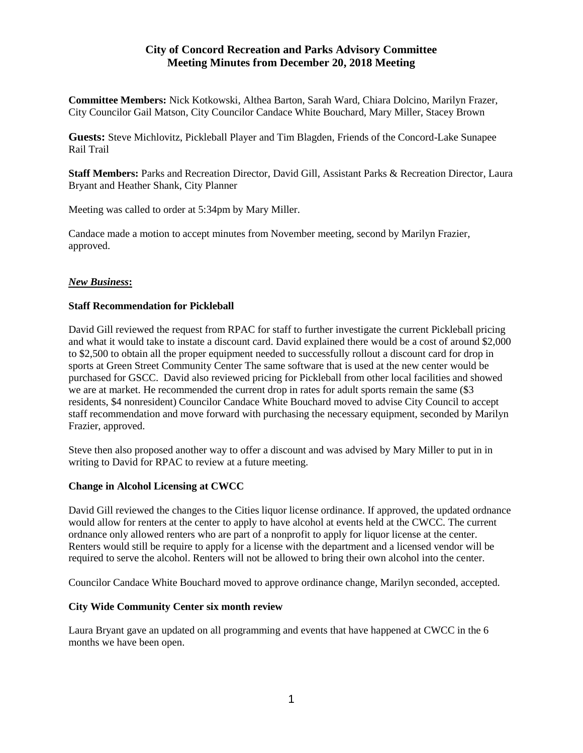# **City of Concord Recreation and Parks Advisory Committee Meeting Minutes from December 20, 2018 Meeting**

**Committee Members:** Nick Kotkowski, Althea Barton, Sarah Ward, Chiara Dolcino, Marilyn Frazer, City Councilor Gail Matson, City Councilor Candace White Bouchard, Mary Miller, Stacey Brown

**Guests:** Steve Michlovitz, Pickleball Player and Tim Blagden, Friends of the Concord-Lake Sunapee Rail Trail

**Staff Members:** Parks and Recreation Director, David Gill, Assistant Parks & Recreation Director, Laura Bryant and Heather Shank, City Planner

Meeting was called to order at 5:34pm by Mary Miller.

Candace made a motion to accept minutes from November meeting, second by Marilyn Frazier, approved.

## *New Business***:**

## **Staff Recommendation for Pickleball**

David Gill reviewed the request from RPAC for staff to further investigate the current Pickleball pricing and what it would take to instate a discount card. David explained there would be a cost of around \$2,000 to \$2,500 to obtain all the proper equipment needed to successfully rollout a discount card for drop in sports at Green Street Community Center The same software that is used at the new center would be purchased for GSCC. David also reviewed pricing for Pickleball from other local facilities and showed we are at market. He recommended the current drop in rates for adult sports remain the same (\$3 residents, \$4 nonresident) Councilor Candace White Bouchard moved to advise City Council to accept staff recommendation and move forward with purchasing the necessary equipment, seconded by Marilyn Frazier, approved.

Steve then also proposed another way to offer a discount and was advised by Mary Miller to put in in writing to David for RPAC to review at a future meeting.

# **Change in Alcohol Licensing at CWCC**

David Gill reviewed the changes to the Cities liquor license ordinance. If approved, the updated ordnance would allow for renters at the center to apply to have alcohol at events held at the CWCC. The current ordnance only allowed renters who are part of a nonprofit to apply for liquor license at the center. Renters would still be require to apply for a license with the department and a licensed vendor will be required to serve the alcohol. Renters will not be allowed to bring their own alcohol into the center.

Councilor Candace White Bouchard moved to approve ordinance change, Marilyn seconded, accepted.

### **City Wide Community Center six month review**

Laura Bryant gave an updated on all programming and events that have happened at CWCC in the 6 months we have been open.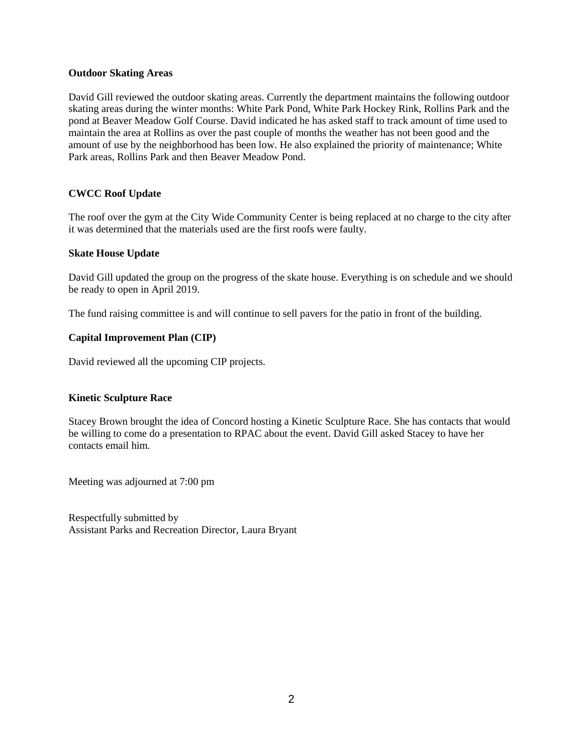#### **Outdoor Skating Areas**

David Gill reviewed the outdoor skating areas. Currently the department maintains the following outdoor skating areas during the winter months: White Park Pond, White Park Hockey Rink, Rollins Park and the pond at Beaver Meadow Golf Course. David indicated he has asked staff to track amount of time used to maintain the area at Rollins as over the past couple of months the weather has not been good and the amount of use by the neighborhood has been low. He also explained the priority of maintenance; White Park areas, Rollins Park and then Beaver Meadow Pond.

### **CWCC Roof Update**

The roof over the gym at the City Wide Community Center is being replaced at no charge to the city after it was determined that the materials used are the first roofs were faulty.

#### **Skate House Update**

David Gill updated the group on the progress of the skate house. Everything is on schedule and we should be ready to open in April 2019.

The fund raising committee is and will continue to sell pavers for the patio in front of the building.

#### **Capital Improvement Plan (CIP)**

David reviewed all the upcoming CIP projects.

### **Kinetic Sculpture Race**

Stacey Brown brought the idea of Concord hosting a Kinetic Sculpture Race. She has contacts that would be willing to come do a presentation to RPAC about the event. David Gill asked Stacey to have her contacts email him.

Meeting was adjourned at 7:00 pm

Respectfully submitted by Assistant Parks and Recreation Director, Laura Bryant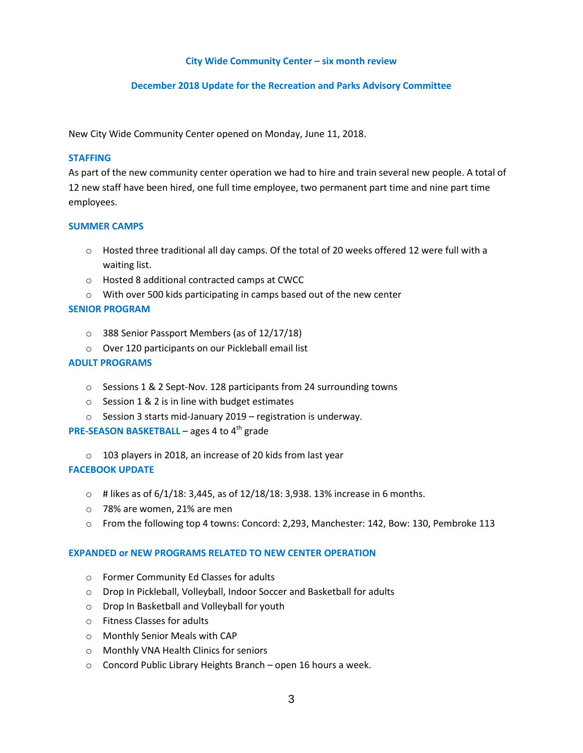#### **City Wide Community Center – six month review**

### **December 2018 Update for the Recreation and Parks Advisory Committee**

New City Wide Community Center opened on Monday, June 11, 2018.

#### **STAFFING**

As part of the new community center operation we had to hire and train several new people. A total of 12 new staff have been hired, one full time employee, two permanent part time and nine part time employees.

#### **SUMMER CAMPS**

- o Hosted three traditional all day camps. Of the total of 20 weeks offered 12 were full with a waiting list.
- o Hosted 8 additional contracted camps at CWCC
- o With over 500 kids participating in camps based out of the new center

#### **SENIOR PROGRAM**

- o 388 Senior Passport Members (as of 12/17/18)
- o Over 120 participants on our Pickleball email list

#### **ADULT PROGRAMS**

- o Sessions 1 & 2 Sept-Nov. 128 participants from 24 surrounding towns
- o Session 1 & 2 is in line with budget estimates
- o Session 3 starts mid-January 2019 registration is underway.

## **PRE-SEASON BASKETBALL** – ages 4 to 4<sup>th</sup> grade

o 103 players in 2018, an increase of 20 kids from last year

#### **FACEBOOK UPDATE**

- $\circ$  # likes as of 6/1/18: 3,445, as of 12/18/18: 3,938. 13% increase in 6 months.
- o 78% are women, 21% are men
- o From the following top 4 towns: Concord: 2,293, Manchester: 142, Bow: 130, Pembroke 113

#### **EXPANDED or NEW PROGRAMS RELATED TO NEW CENTER OPERATION**

- o Former Community Ed Classes for adults
- o Drop In Pickleball, Volleyball, Indoor Soccer and Basketball for adults
- o Drop In Basketball and Volleyball for youth
- o Fitness Classes for adults
- o Monthly Senior Meals with CAP
- o Monthly VNA Health Clinics for seniors
- o Concord Public Library Heights Branch open 16 hours a week.